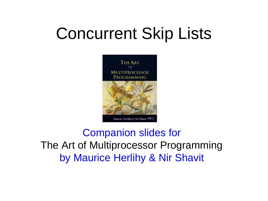## Concurrent Skip Lists



#### Companion slides for The Art of Multiprocessor Programming by Maurice Herlihy & Nir Shavit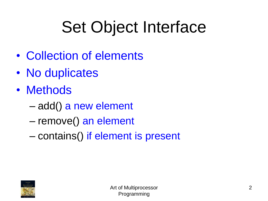# Set Object Interface

- Collection of elements
- No duplicates
- Methods
	- add() a new element
	- remove() an element
	- contains() if element is present

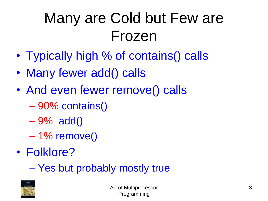## Many are Cold but Few are Frozen

- Typically high % of contains() calls
- Many fewer add() calls
- And even fewer remove() calls
	- 90% contains()
	- 9% add()
	- $-1\%$  remove()
- Folklore?

– Yes but probably mostly true

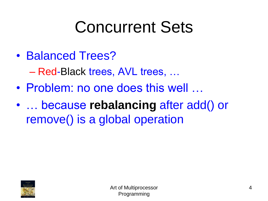## Concurrent Sets

• Balanced Trees?

– Red-Black trees, AVL trees, …

- Problem: no one does this well ...
- … because **rebalancing** after add() or remove() is a global operation

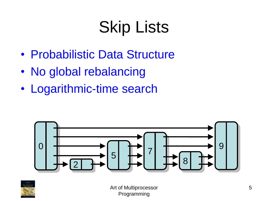# Skip Lists

- Probabilistic Data Structure
- No global rebalancing
- Logarithmic-time search



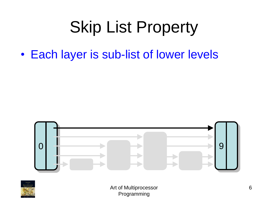• Each layer is sub-list of lower levels



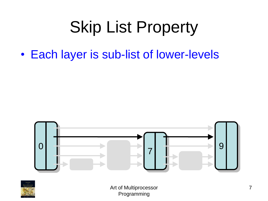• Each layer is sub-list of lower-levels



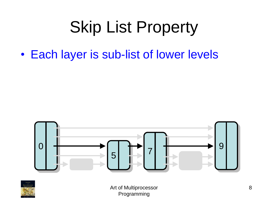• Each layer is sub-list of lower levels



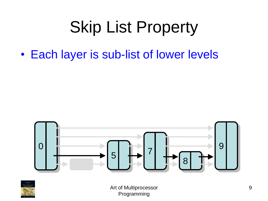• Each layer is sub-list of lower levels



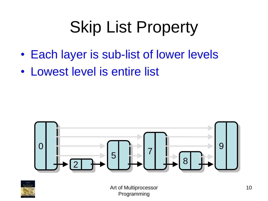- Each layer is sub-list of lower levels
- Lowest level is entire list



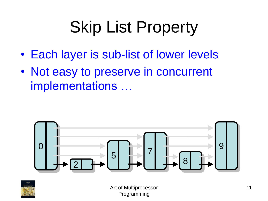- Each layer is sub-list of lower levels
- Not easy to preserve in concurrent implementations …



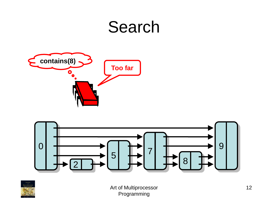



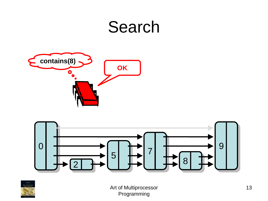



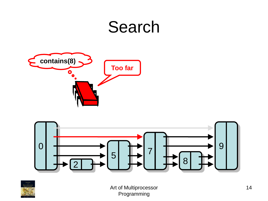



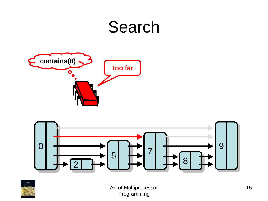



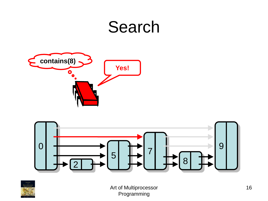



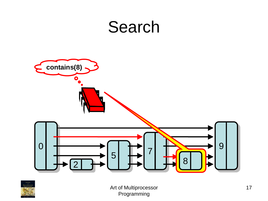

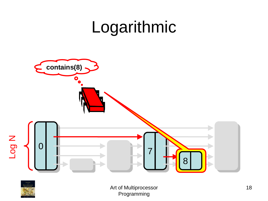## Logarithmic



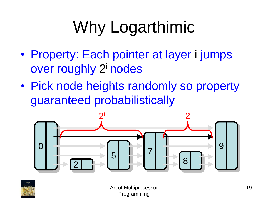# Why Logarthimic

- Property: Each pointer at layer i jumps over roughly 2<sup>i</sup> nodes
- Pick node heights randomly so property guaranteed probabilistically



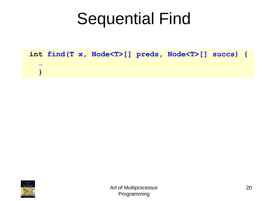|                         |  |  | int find $(T x, Node < T > []$ preds, Node $(T > []$ succs) { |  |
|-------------------------|--|--|---------------------------------------------------------------|--|
| $\bullet\bullet\bullet$ |  |  |                                                               |  |
|                         |  |  |                                                               |  |

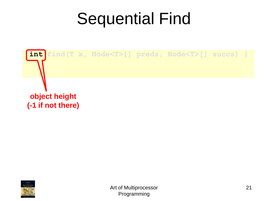

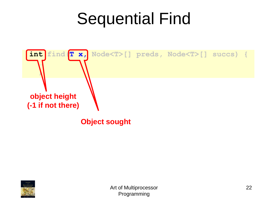

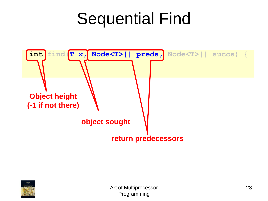

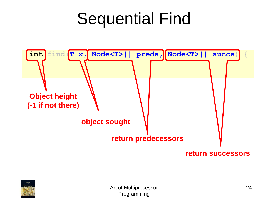

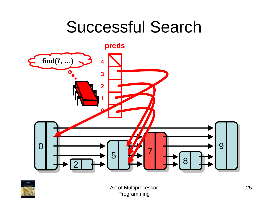### Successful Search



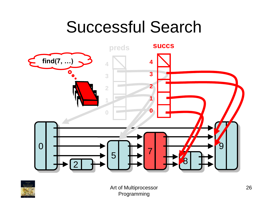## Successful Search



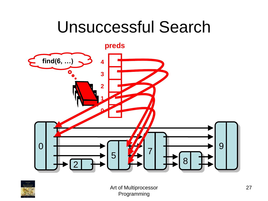### Unsuccessful Search



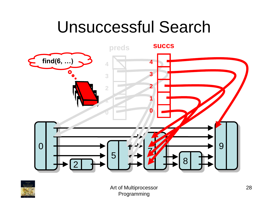## Unsuccessful Search



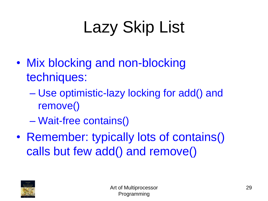# Lazy Skip List

- Mix blocking and non-blocking techniques:
	- Use optimistic-lazy locking for add() and remove()
	- Wait-free contains()
- Remember: typically lots of contains() calls but few add() and remove()

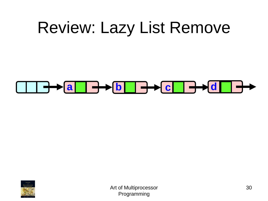#### **a d b d c d**

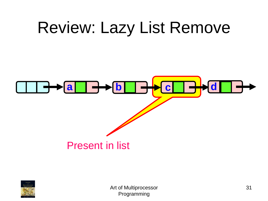

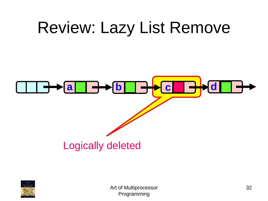

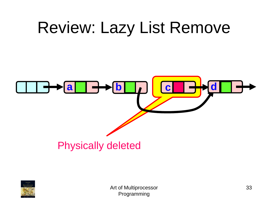

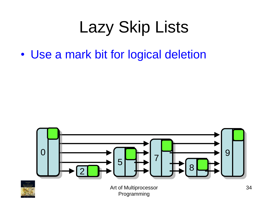# Lazy Skip Lists

• Use a mark bit for logical deletion



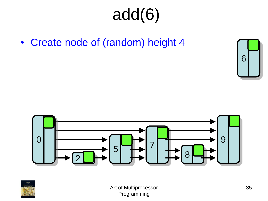• Create node of (random) height 4





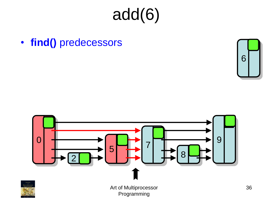• **find()** predecessors



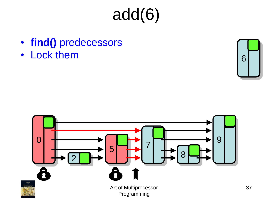- **find()** predecessors
- Lock them 6



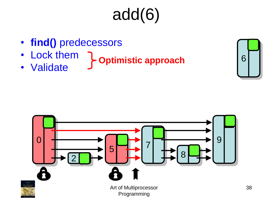- **find()** predecessors
- Lock them
- Validate **Optimistic approach**

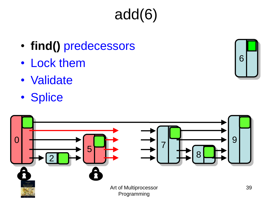- **find()** predecessors
- Lock them
- Validate
- Splice

0



Programming

6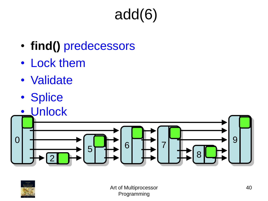- **find()** predecessors
- Lock them
- Validate
- Splice
- Unlock



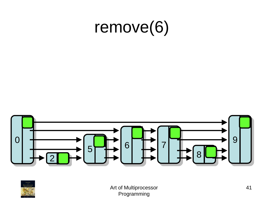

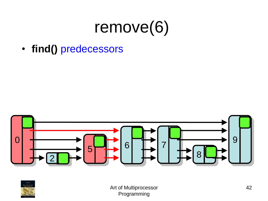• **find()** predecessors



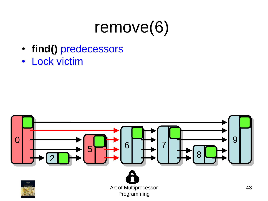- **find()** predecessors
- Lock victim

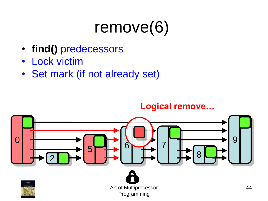- **find()** predecessors
- Lock victim
- Set mark (if not already set)

#### **Logical remove…**

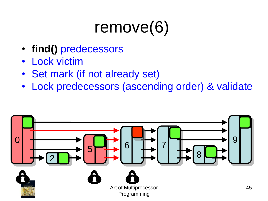- **find()** predecessors
- **Lock victim**
- Set mark (if not already set)
- Lock predecessors (ascending order) & validate

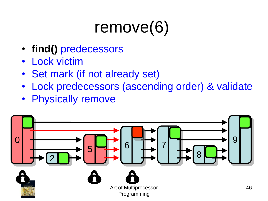- **find()** predecessors
- **Lock victim**
- Set mark (if not already set)
- Lock predecessors (ascending order) & validate
- **Physically remove**

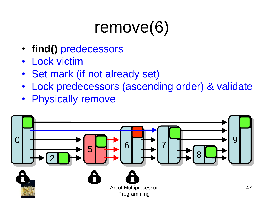- **find()** predecessors
- **Lock victim**
- Set mark (if not already set)
- Lock predecessors (ascending order) & validate
- **Physically remove**

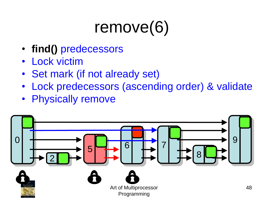- **find()** predecessors
- **Lock victim**
- Set mark (if not already set)
- Lock predecessors (ascending order) & validate
- **Physically remove**

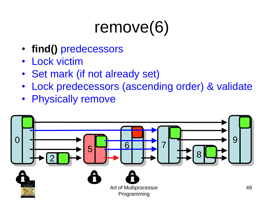- **find()** predecessors
- **Lock victim**
- Set mark (if not already set)
- Lock predecessors (ascending order) & validate
- **Physically remove**

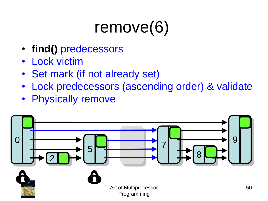- **find()** predecessors
- **Lock victim**
- Set mark (if not already set)
- Lock predecessors (ascending order) & validate
- **Physically remove**

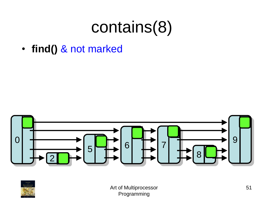• **find()** & not marked



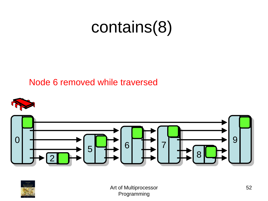#### Node 6 removed while traversed





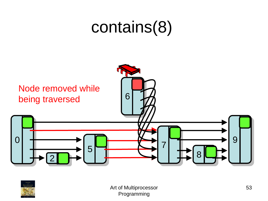

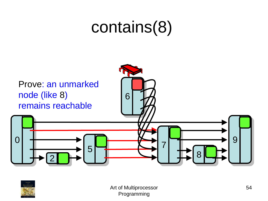

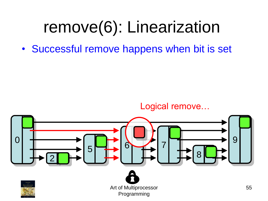# remove(6): Linearization

• Successful remove happens when bit is set



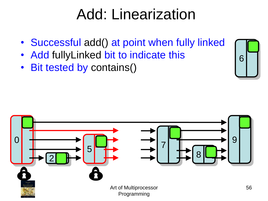#### Add: Linearization

- Successful add() at point when fully linked
- Add fullyLinked bit to indicate this
- Bit tested by contains()

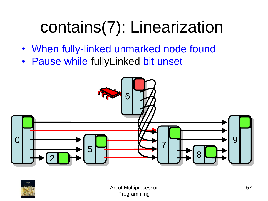- When fully-linked unmarked node found
- Pause while fullyLinked bit unset



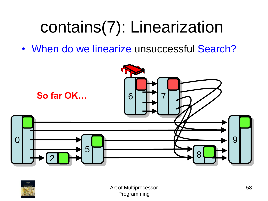• When do we linearize unsuccessful Search?



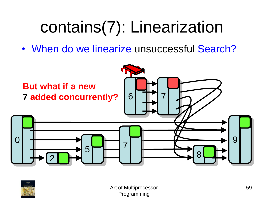• When do we linearize unsuccessful Search?



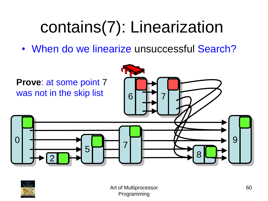• When do we linearize unsuccessful Search?



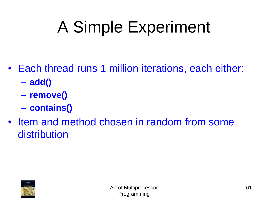# A Simple Experiment

- Each thread runs 1 million iterations, each either:
	- **add()**
	- **remove()**
	- **contains()**
- Item and method chosen in random from some distribution

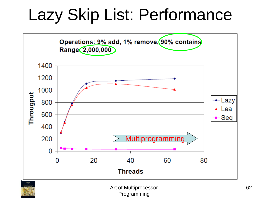## Lazy Skip List: Performance



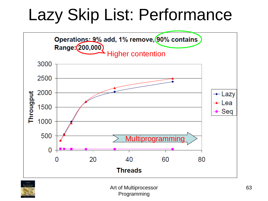## Lazy Skip List: Performance



![](_page_62_Picture_2.jpeg)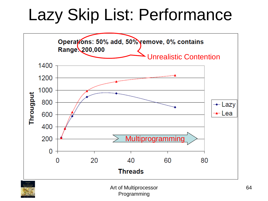## Lazy Skip List: Performance

![](_page_63_Figure_1.jpeg)

![](_page_63_Picture_2.jpeg)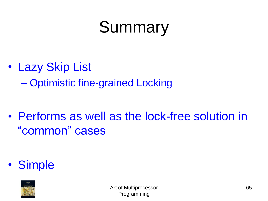# Summary

• Lazy Skip List

– Optimistic fine-grained Locking

• Performs as well as the lock-free solution in "common" cases

• Simple

![](_page_64_Picture_5.jpeg)